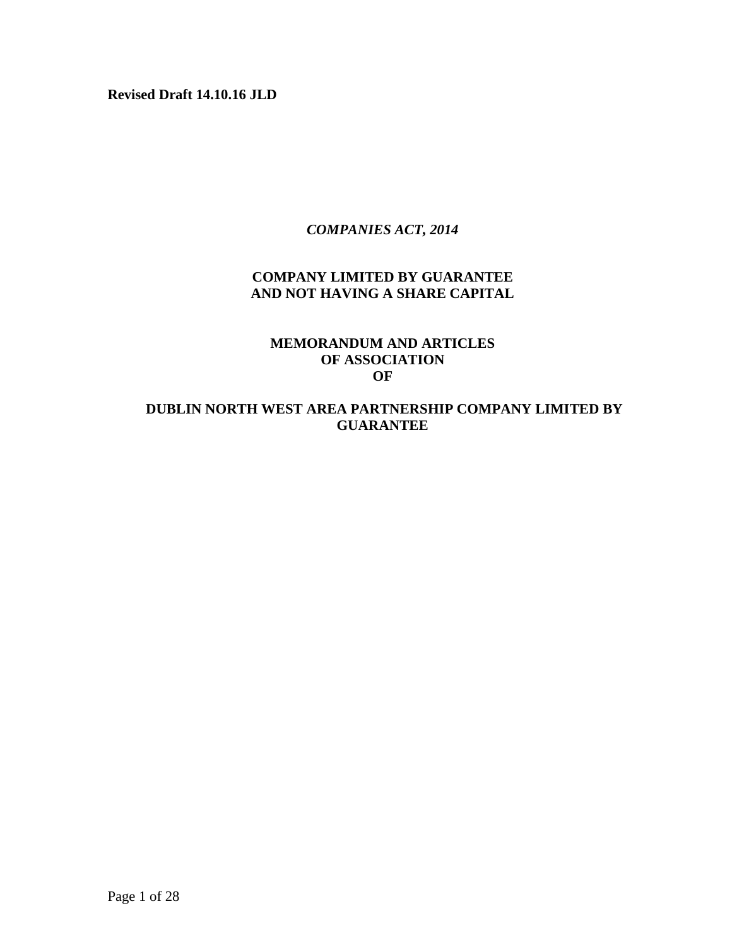**Revised Draft 14.10.16 JLD**

### *COMPANIES ACT, 2014*

# **COMPANY LIMITED BY GUARANTEE AND NOT HAVING A SHARE CAPITAL**

### **MEMORANDUM AND ARTICLES OF ASSOCIATION OF**

# **DUBLIN NORTH WEST AREA PARTNERSHIP COMPANY LIMITED BY GUARANTEE**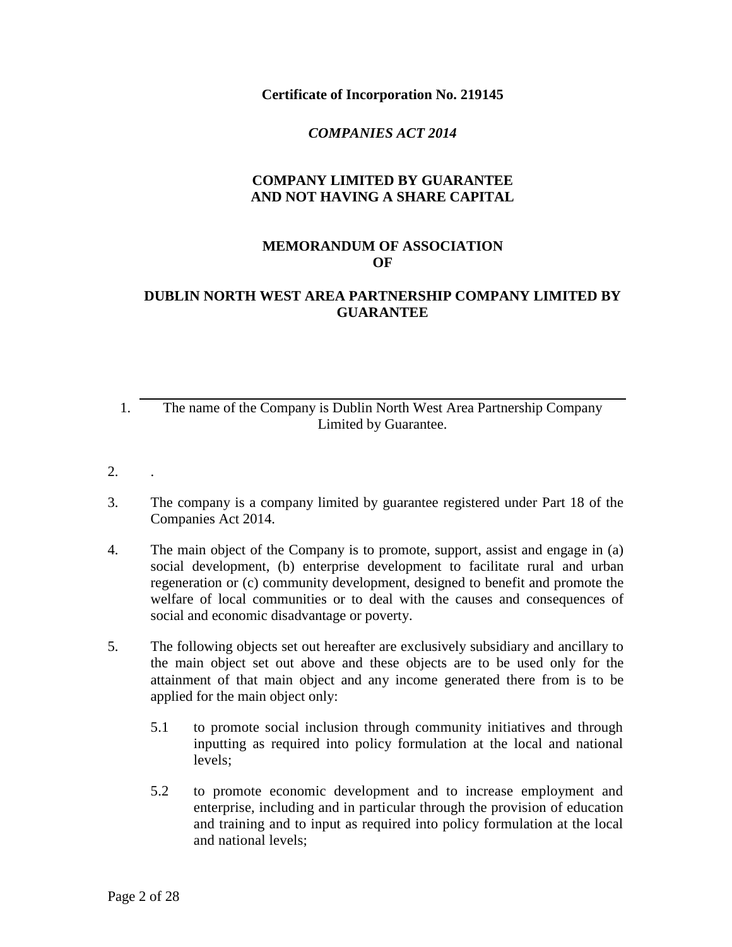**Certificate of Incorporation No. 219145**

### *COMPANIES ACT 2014*

# **COMPANY LIMITED BY GUARANTEE AND NOT HAVING A SHARE CAPITAL**

#### **MEMORANDUM OF ASSOCIATION OF**

# **DUBLIN NORTH WEST AREA PARTNERSHIP COMPANY LIMITED BY GUARANTEE**

- 1. The name of the Company is Dublin North West Area Partnership Company Limited by Guarantee.
- 2. .
- 3. The company is a company limited by guarantee registered under Part 18 of the Companies Act 2014.
- 4. The main object of the Company is to promote, support, assist and engage in (a) social development, (b) enterprise development to facilitate rural and urban regeneration or (c) community development, designed to benefit and promote the welfare of local communities or to deal with the causes and consequences of social and economic disadvantage or poverty.
- 5. The following objects set out hereafter are exclusively subsidiary and ancillary to the main object set out above and these objects are to be used only for the attainment of that main object and any income generated there from is to be applied for the main object only:
	- 5.1 to promote social inclusion through community initiatives and through inputting as required into policy formulation at the local and national levels;
	- 5.2 to promote economic development and to increase employment and enterprise, including and in particular through the provision of education and training and to input as required into policy formulation at the local and national levels;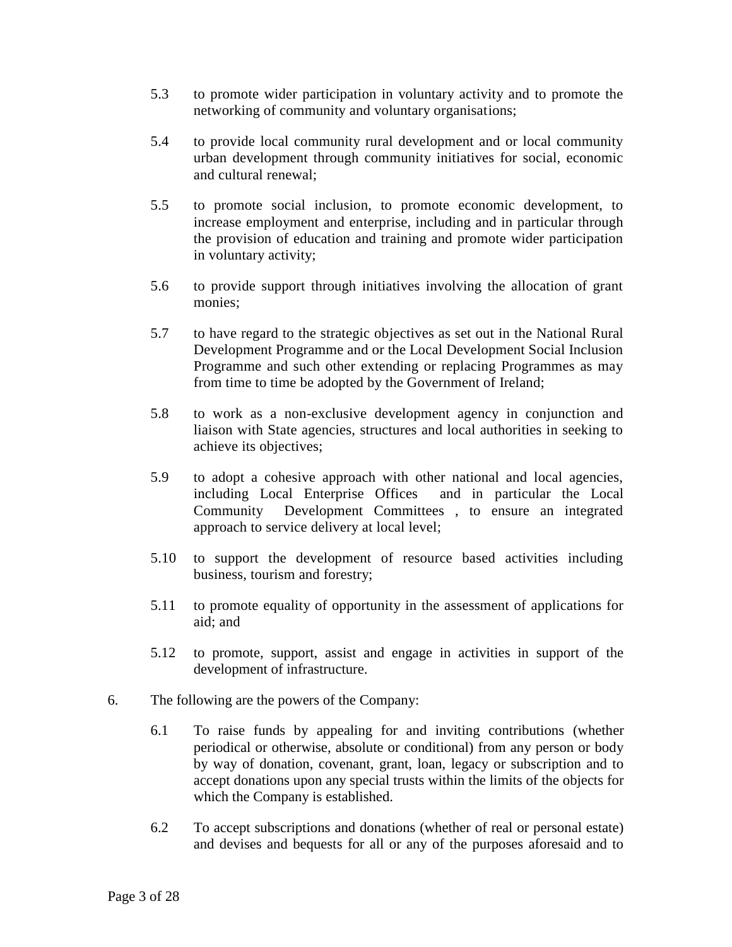- 5.3 to promote wider participation in voluntary activity and to promote the networking of community and voluntary organisations;
- 5.4 to provide local community rural development and or local community urban development through community initiatives for social, economic and cultural renewal;
- 5.5 to promote social inclusion, to promote economic development, to increase employment and enterprise, including and in particular through the provision of education and training and promote wider participation in voluntary activity;
- 5.6 to provide support through initiatives involving the allocation of grant monies;
- 5.7 to have regard to the strategic objectives as set out in the National Rural Development Programme and or the Local Development Social Inclusion Programme and such other extending or replacing Programmes as may from time to time be adopted by the Government of Ireland;
- 5.8 to work as a non-exclusive development agency in conjunction and liaison with State agencies, structures and local authorities in seeking to achieve its objectives;
- 5.9 to adopt a cohesive approach with other national and local agencies, including Local Enterprise Offices and in particular the Local Community Development Committees , to ensure an integrated approach to service delivery at local level;
- 5.10 to support the development of resource based activities including business, tourism and forestry;
- 5.11 to promote equality of opportunity in the assessment of applications for aid; and
- 5.12 to promote, support, assist and engage in activities in support of the development of infrastructure.
- 6. The following are the powers of the Company:
	- 6.1 To raise funds by appealing for and inviting contributions (whether periodical or otherwise, absolute or conditional) from any person or body by way of donation, covenant, grant, loan, legacy or subscription and to accept donations upon any special trusts within the limits of the objects for which the Company is established.
	- 6.2 To accept subscriptions and donations (whether of real or personal estate) and devises and bequests for all or any of the purposes aforesaid and to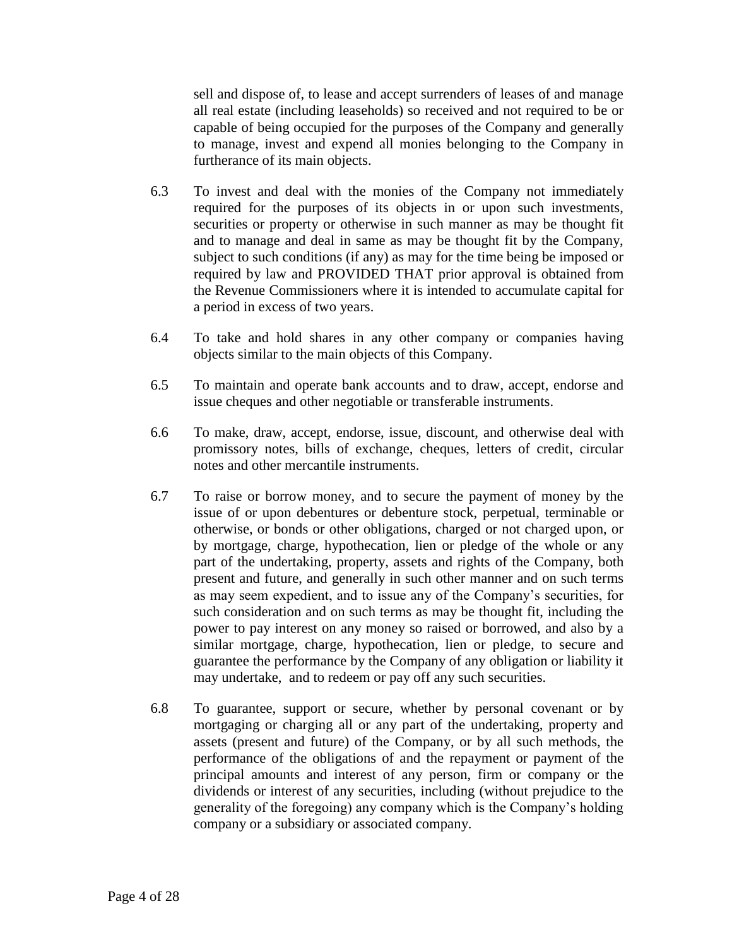sell and dispose of, to lease and accept surrenders of leases of and manage all real estate (including leaseholds) so received and not required to be or capable of being occupied for the purposes of the Company and generally to manage, invest and expend all monies belonging to the Company in furtherance of its main objects.

- 6.3 To invest and deal with the monies of the Company not immediately required for the purposes of its objects in or upon such investments, securities or property or otherwise in such manner as may be thought fit and to manage and deal in same as may be thought fit by the Company, subject to such conditions (if any) as may for the time being be imposed or required by law and PROVIDED THAT prior approval is obtained from the Revenue Commissioners where it is intended to accumulate capital for a period in excess of two years.
- 6.4 To take and hold shares in any other company or companies having objects similar to the main objects of this Company.
- 6.5 To maintain and operate bank accounts and to draw, accept, endorse and issue cheques and other negotiable or transferable instruments.
- 6.6 To make, draw, accept, endorse, issue, discount, and otherwise deal with promissory notes, bills of exchange, cheques, letters of credit, circular notes and other mercantile instruments.
- 6.7 To raise or borrow money, and to secure the payment of money by the issue of or upon debentures or debenture stock, perpetual, terminable or otherwise, or bonds or other obligations, charged or not charged upon, or by mortgage, charge, hypothecation, lien or pledge of the whole or any part of the undertaking, property, assets and rights of the Company, both present and future, and generally in such other manner and on such terms as may seem expedient, and to issue any of the Company's securities, for such consideration and on such terms as may be thought fit, including the power to pay interest on any money so raised or borrowed, and also by a similar mortgage, charge, hypothecation, lien or pledge, to secure and guarantee the performance by the Company of any obligation or liability it may undertake, and to redeem or pay off any such securities.
- 6.8 To guarantee, support or secure, whether by personal covenant or by mortgaging or charging all or any part of the undertaking, property and assets (present and future) of the Company, or by all such methods, the performance of the obligations of and the repayment or payment of the principal amounts and interest of any person, firm or company or the dividends or interest of any securities, including (without prejudice to the generality of the foregoing) any company which is the Company's holding company or a subsidiary or associated company.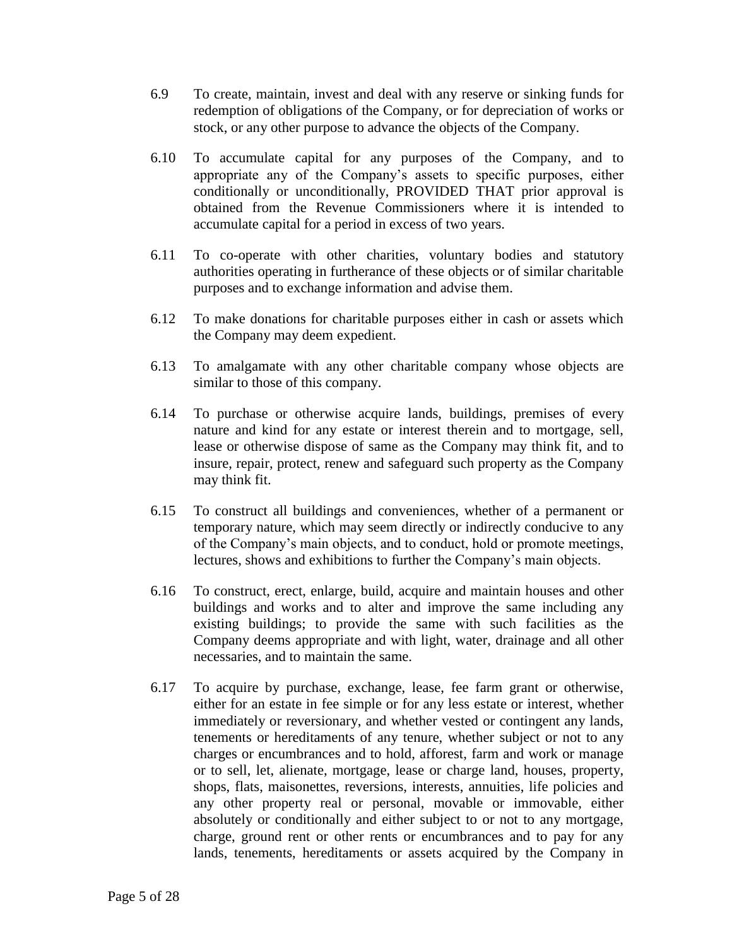- 6.9 To create, maintain, invest and deal with any reserve or sinking funds for redemption of obligations of the Company, or for depreciation of works or stock, or any other purpose to advance the objects of the Company.
- 6.10 To accumulate capital for any purposes of the Company, and to appropriate any of the Company's assets to specific purposes, either conditionally or unconditionally, PROVIDED THAT prior approval is obtained from the Revenue Commissioners where it is intended to accumulate capital for a period in excess of two years.
- 6.11 To co-operate with other charities, voluntary bodies and statutory authorities operating in furtherance of these objects or of similar charitable purposes and to exchange information and advise them.
- 6.12 To make donations for charitable purposes either in cash or assets which the Company may deem expedient.
- 6.13 To amalgamate with any other charitable company whose objects are similar to those of this company.
- 6.14 To purchase or otherwise acquire lands, buildings, premises of every nature and kind for any estate or interest therein and to mortgage, sell, lease or otherwise dispose of same as the Company may think fit, and to insure, repair, protect, renew and safeguard such property as the Company may think fit.
- 6.15 To construct all buildings and conveniences, whether of a permanent or temporary nature, which may seem directly or indirectly conducive to any of the Company's main objects, and to conduct, hold or promote meetings, lectures, shows and exhibitions to further the Company's main objects.
- 6.16 To construct, erect, enlarge, build, acquire and maintain houses and other buildings and works and to alter and improve the same including any existing buildings; to provide the same with such facilities as the Company deems appropriate and with light, water, drainage and all other necessaries, and to maintain the same.
- 6.17 To acquire by purchase, exchange, lease, fee farm grant or otherwise, either for an estate in fee simple or for any less estate or interest, whether immediately or reversionary, and whether vested or contingent any lands, tenements or hereditaments of any tenure, whether subject or not to any charges or encumbrances and to hold, afforest, farm and work or manage or to sell, let, alienate, mortgage, lease or charge land, houses, property, shops, flats, maisonettes, reversions, interests, annuities, life policies and any other property real or personal, movable or immovable, either absolutely or conditionally and either subject to or not to any mortgage, charge, ground rent or other rents or encumbrances and to pay for any lands, tenements, hereditaments or assets acquired by the Company in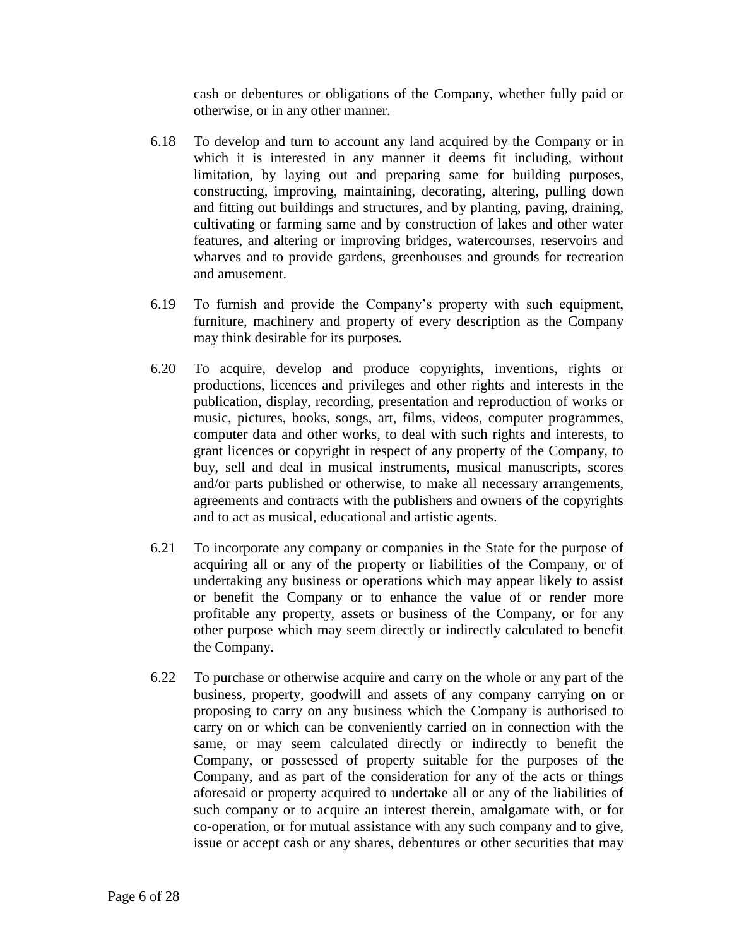cash or debentures or obligations of the Company, whether fully paid or otherwise, or in any other manner.

- 6.18 To develop and turn to account any land acquired by the Company or in which it is interested in any manner it deems fit including, without limitation, by laying out and preparing same for building purposes, constructing, improving, maintaining, decorating, altering, pulling down and fitting out buildings and structures, and by planting, paving, draining, cultivating or farming same and by construction of lakes and other water features, and altering or improving bridges, watercourses, reservoirs and wharves and to provide gardens, greenhouses and grounds for recreation and amusement.
- 6.19 To furnish and provide the Company's property with such equipment, furniture, machinery and property of every description as the Company may think desirable for its purposes.
- 6.20 To acquire, develop and produce copyrights, inventions, rights or productions, licences and privileges and other rights and interests in the publication, display, recording, presentation and reproduction of works or music, pictures, books, songs, art, films, videos, computer programmes, computer data and other works, to deal with such rights and interests, to grant licences or copyright in respect of any property of the Company, to buy, sell and deal in musical instruments, musical manuscripts, scores and/or parts published or otherwise, to make all necessary arrangements, agreements and contracts with the publishers and owners of the copyrights and to act as musical, educational and artistic agents.
- 6.21 To incorporate any company or companies in the State for the purpose of acquiring all or any of the property or liabilities of the Company, or of undertaking any business or operations which may appear likely to assist or benefit the Company or to enhance the value of or render more profitable any property, assets or business of the Company, or for any other purpose which may seem directly or indirectly calculated to benefit the Company.
- 6.22 To purchase or otherwise acquire and carry on the whole or any part of the business, property, goodwill and assets of any company carrying on or proposing to carry on any business which the Company is authorised to carry on or which can be conveniently carried on in connection with the same, or may seem calculated directly or indirectly to benefit the Company, or possessed of property suitable for the purposes of the Company, and as part of the consideration for any of the acts or things aforesaid or property acquired to undertake all or any of the liabilities of such company or to acquire an interest therein, amalgamate with, or for co-operation, or for mutual assistance with any such company and to give, issue or accept cash or any shares, debentures or other securities that may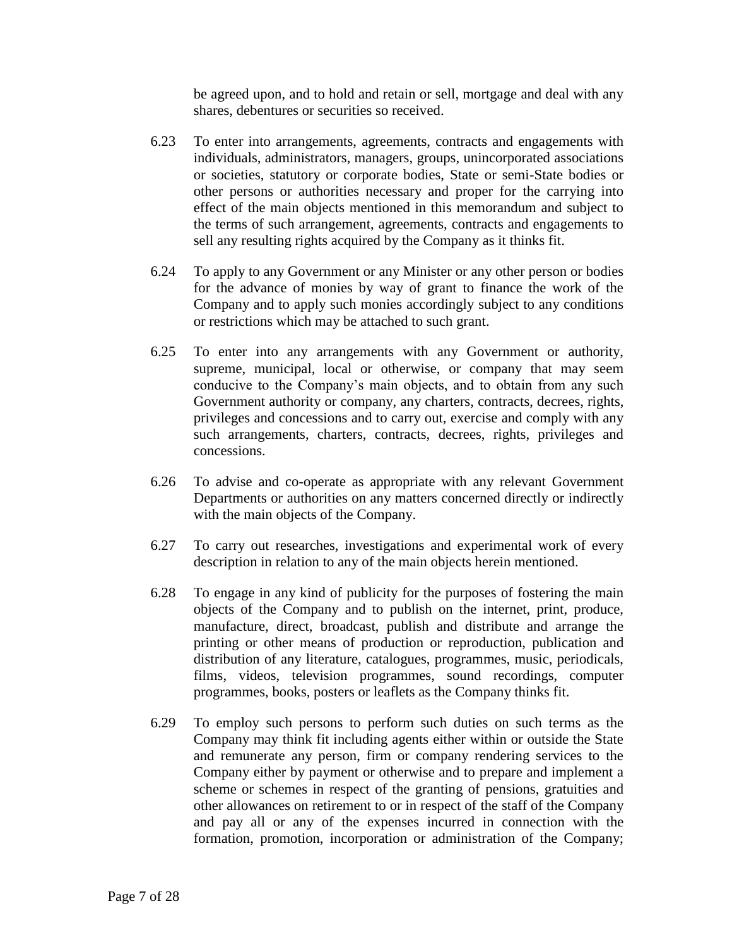be agreed upon, and to hold and retain or sell, mortgage and deal with any shares, debentures or securities so received.

- 6.23 To enter into arrangements, agreements, contracts and engagements with individuals, administrators, managers, groups, unincorporated associations or societies, statutory or corporate bodies, State or semi-State bodies or other persons or authorities necessary and proper for the carrying into effect of the main objects mentioned in this memorandum and subject to the terms of such arrangement, agreements, contracts and engagements to sell any resulting rights acquired by the Company as it thinks fit.
- 6.24 To apply to any Government or any Minister or any other person or bodies for the advance of monies by way of grant to finance the work of the Company and to apply such monies accordingly subject to any conditions or restrictions which may be attached to such grant.
- 6.25 To enter into any arrangements with any Government or authority, supreme, municipal, local or otherwise, or company that may seem conducive to the Company's main objects, and to obtain from any such Government authority or company, any charters, contracts, decrees, rights, privileges and concessions and to carry out, exercise and comply with any such arrangements, charters, contracts, decrees, rights, privileges and concessions.
- 6.26 To advise and co-operate as appropriate with any relevant Government Departments or authorities on any matters concerned directly or indirectly with the main objects of the Company.
- 6.27 To carry out researches, investigations and experimental work of every description in relation to any of the main objects herein mentioned.
- 6.28 To engage in any kind of publicity for the purposes of fostering the main objects of the Company and to publish on the internet, print, produce, manufacture, direct, broadcast, publish and distribute and arrange the printing or other means of production or reproduction, publication and distribution of any literature, catalogues, programmes, music, periodicals, films, videos, television programmes, sound recordings, computer programmes, books, posters or leaflets as the Company thinks fit.
- 6.29 To employ such persons to perform such duties on such terms as the Company may think fit including agents either within or outside the State and remunerate any person, firm or company rendering services to the Company either by payment or otherwise and to prepare and implement a scheme or schemes in respect of the granting of pensions, gratuities and other allowances on retirement to or in respect of the staff of the Company and pay all or any of the expenses incurred in connection with the formation, promotion, incorporation or administration of the Company;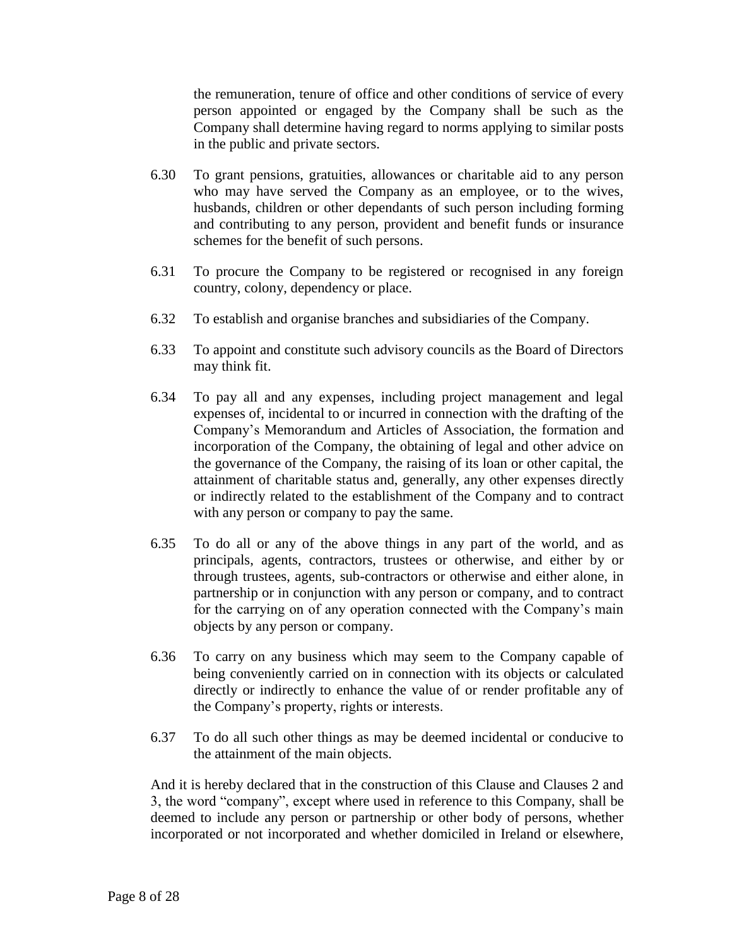the remuneration, tenure of office and other conditions of service of every person appointed or engaged by the Company shall be such as the Company shall determine having regard to norms applying to similar posts in the public and private sectors.

- 6.30 To grant pensions, gratuities, allowances or charitable aid to any person who may have served the Company as an employee, or to the wives, husbands, children or other dependants of such person including forming and contributing to any person, provident and benefit funds or insurance schemes for the benefit of such persons.
- 6.31 To procure the Company to be registered or recognised in any foreign country, colony, dependency or place.
- 6.32 To establish and organise branches and subsidiaries of the Company.
- 6.33 To appoint and constitute such advisory councils as the Board of Directors may think fit.
- 6.34 To pay all and any expenses, including project management and legal expenses of, incidental to or incurred in connection with the drafting of the Company's Memorandum and Articles of Association, the formation and incorporation of the Company, the obtaining of legal and other advice on the governance of the Company, the raising of its loan or other capital, the attainment of charitable status and, generally, any other expenses directly or indirectly related to the establishment of the Company and to contract with any person or company to pay the same.
- 6.35 To do all or any of the above things in any part of the world, and as principals, agents, contractors, trustees or otherwise, and either by or through trustees, agents, sub-contractors or otherwise and either alone, in partnership or in conjunction with any person or company, and to contract for the carrying on of any operation connected with the Company's main objects by any person or company.
- 6.36 To carry on any business which may seem to the Company capable of being conveniently carried on in connection with its objects or calculated directly or indirectly to enhance the value of or render profitable any of the Company's property, rights or interests.
- 6.37 To do all such other things as may be deemed incidental or conducive to the attainment of the main objects.

And it is hereby declared that in the construction of this Clause and Clauses 2 and 3, the word "company", except where used in reference to this Company, shall be deemed to include any person or partnership or other body of persons, whether incorporated or not incorporated and whether domiciled in Ireland or elsewhere,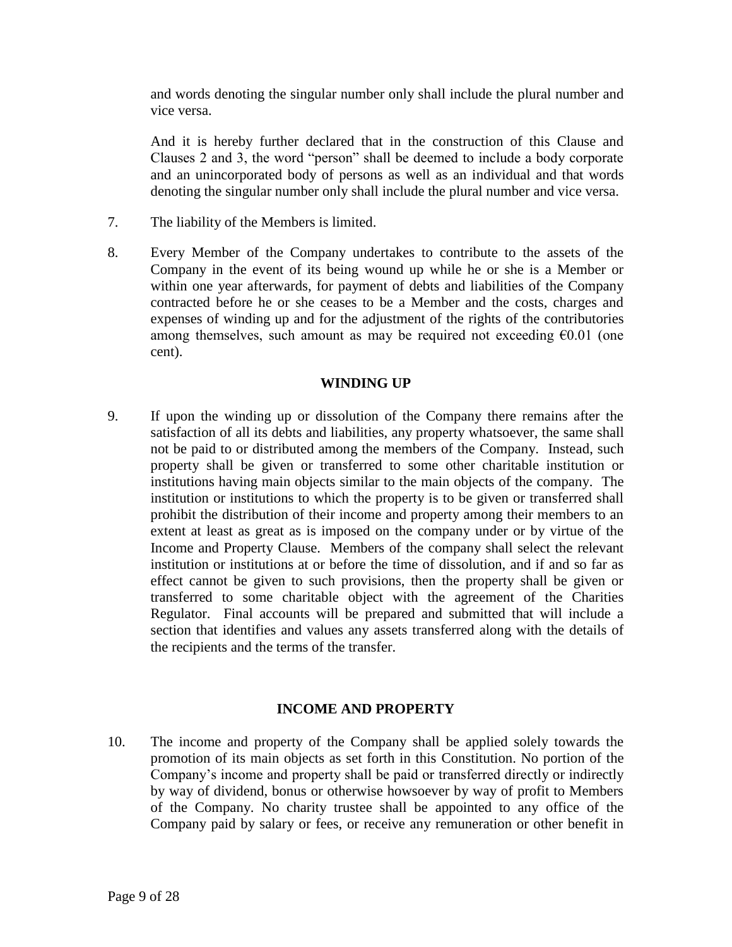and words denoting the singular number only shall include the plural number and vice versa.

And it is hereby further declared that in the construction of this Clause and Clauses 2 and 3, the word "person" shall be deemed to include a body corporate and an unincorporated body of persons as well as an individual and that words denoting the singular number only shall include the plural number and vice versa.

- 7. The liability of the Members is limited.
- 8. Every Member of the Company undertakes to contribute to the assets of the Company in the event of its being wound up while he or she is a Member or within one year afterwards, for payment of debts and liabilities of the Company contracted before he or she ceases to be a Member and the costs, charges and expenses of winding up and for the adjustment of the rights of the contributories among themselves, such amount as may be required not exceeding  $\epsilon 0.01$  (one cent).

### **WINDING UP**

9. If upon the winding up or dissolution of the Company there remains after the satisfaction of all its debts and liabilities, any property whatsoever, the same shall not be paid to or distributed among the members of the Company. Instead, such property shall be given or transferred to some other charitable institution or institutions having main objects similar to the main objects of the company. The institution or institutions to which the property is to be given or transferred shall prohibit the distribution of their income and property among their members to an extent at least as great as is imposed on the company under or by virtue of the Income and Property Clause. Members of the company shall select the relevant institution or institutions at or before the time of dissolution, and if and so far as effect cannot be given to such provisions, then the property shall be given or transferred to some charitable object with the agreement of the Charities Regulator. Final accounts will be prepared and submitted that will include a section that identifies and values any assets transferred along with the details of the recipients and the terms of the transfer.

### **INCOME AND PROPERTY**

10. The income and property of the Company shall be applied solely towards the promotion of its main objects as set forth in this Constitution. No portion of the Company's income and property shall be paid or transferred directly or indirectly by way of dividend, bonus or otherwise howsoever by way of profit to Members of the Company. No charity trustee shall be appointed to any office of the Company paid by salary or fees, or receive any remuneration or other benefit in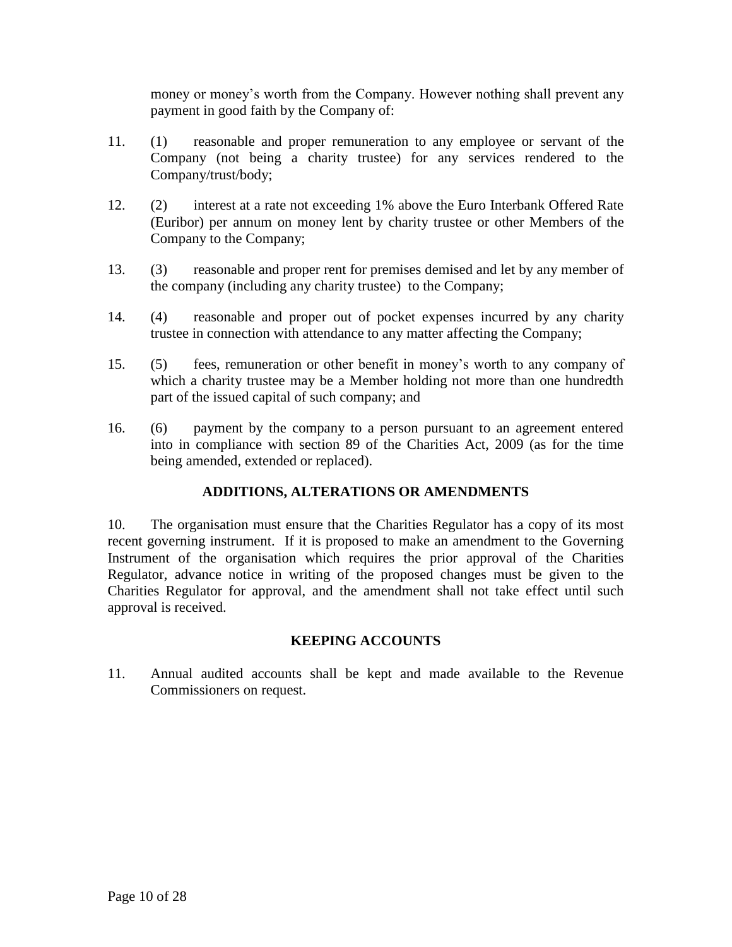money or money's worth from the Company. However nothing shall prevent any payment in good faith by the Company of:

- 11. (1) reasonable and proper remuneration to any employee or servant of the Company (not being a charity trustee) for any services rendered to the Company/trust/body;
- 12. (2) interest at a rate not exceeding 1% above the Euro Interbank Offered Rate (Euribor) per annum on money lent by charity trustee or other Members of the Company to the Company;
- 13. (3) reasonable and proper rent for premises demised and let by any member of the company (including any charity trustee) to the Company;
- 14. (4) reasonable and proper out of pocket expenses incurred by any charity trustee in connection with attendance to any matter affecting the Company;
- 15. (5) fees, remuneration or other benefit in money's worth to any company of which a charity trustee may be a Member holding not more than one hundredth part of the issued capital of such company; and
- 16. (6) payment by the company to a person pursuant to an agreement entered into in compliance with section 89 of the Charities Act, 2009 (as for the time being amended, extended or replaced).

# **ADDITIONS, ALTERATIONS OR AMENDMENTS**

10. The organisation must ensure that the Charities Regulator has a copy of its most recent governing instrument. If it is proposed to make an amendment to the Governing Instrument of the organisation which requires the prior approval of the Charities Regulator, advance notice in writing of the proposed changes must be given to the Charities Regulator for approval, and the amendment shall not take effect until such approval is received.

# **KEEPING ACCOUNTS**

11. Annual audited accounts shall be kept and made available to the Revenue Commissioners on request.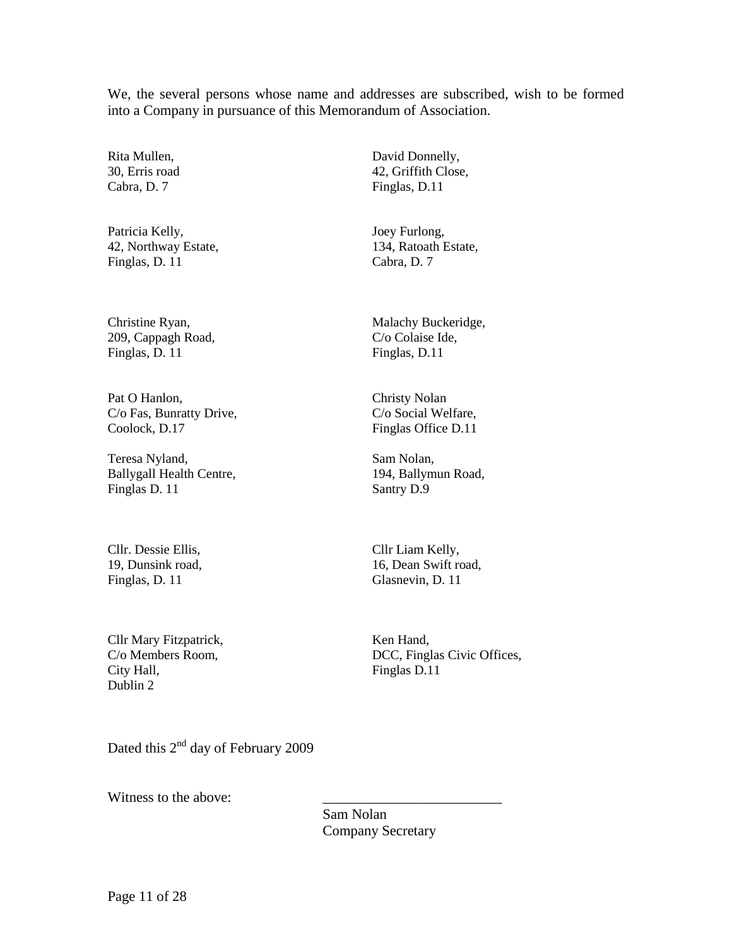We, the several persons whose name and addresses are subscribed, wish to be formed into a Company in pursuance of this Memorandum of Association.

Rita Mullen, 30, Erris road Cabra, D. 7

Patricia Kelly, 42, Northway Estate, Finglas, D. 11

Christine Ryan, 209, Cappagh Road, Finglas, D. 11

Pat O Hanlon, C/o Fas, Bunratty Drive, Coolock, D.17

Teresa Nyland, Ballygall Health Centre, Finglas D. 11

Cllr. Dessie Ellis, 19, Dunsink road, Finglas, D. 11

Cllr Mary Fitzpatrick, C/o Members Room, City Hall, Dublin 2

David Donnelly, 42, Griffith Close, Finglas, D.11

Joey Furlong, 134, Ratoath Estate, Cabra, D. 7

Malachy Buckeridge, C/o Colaise Ide, Finglas, D.11

Christy Nolan C/o Social Welfare, Finglas Office D.11

Sam Nolan, 194, Ballymun Road, Santry D.9

Cllr Liam Kelly, 16, Dean Swift road, Glasnevin, D. 11

Ken Hand, DCC, Finglas Civic Offices, Finglas D.11

Dated this 2<sup>nd</sup> day of February 2009

Witness to the above:

Sam Nolan Company Secretary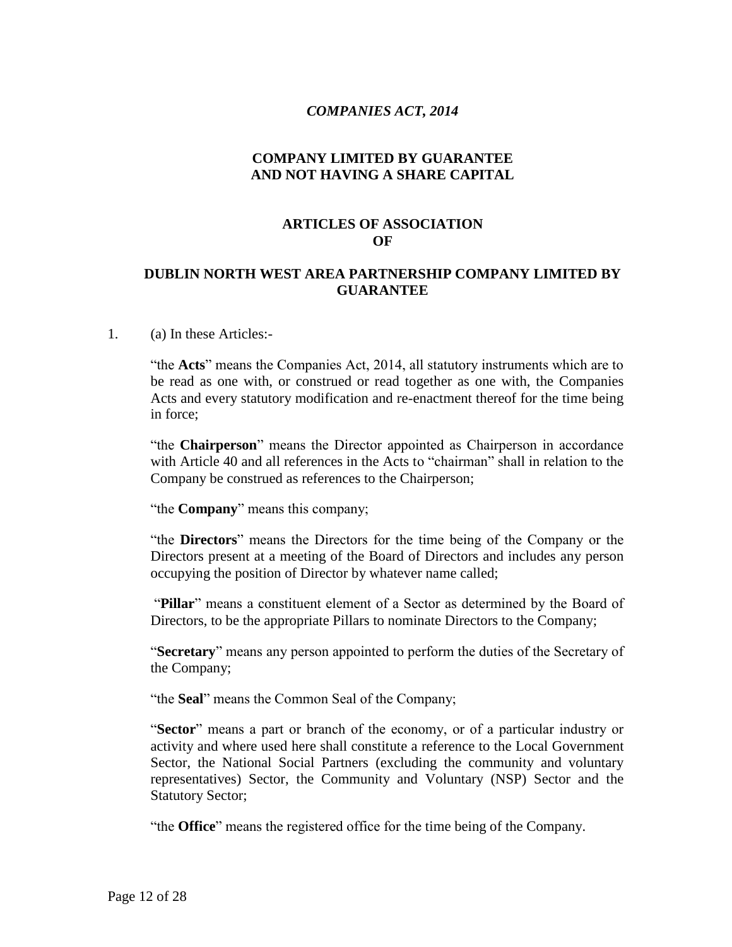### *COMPANIES ACT, 2014*

### **COMPANY LIMITED BY GUARANTEE AND NOT HAVING A SHARE CAPITAL**

### **ARTICLES OF ASSOCIATION OF**

### **DUBLIN NORTH WEST AREA PARTNERSHIP COMPANY LIMITED BY GUARANTEE**

#### 1. (a) In these Articles:-

"the **Acts**" means the Companies Act, 2014, all statutory instruments which are to be read as one with, or construed or read together as one with, the Companies Acts and every statutory modification and re-enactment thereof for the time being in force;

"the **Chairperson**" means the Director appointed as Chairperson in accordance with Article 40 and all references in the Acts to "chairman" shall in relation to the Company be construed as references to the Chairperson;

"the **Company**" means this company;

"the **Directors**" means the Directors for the time being of the Company or the Directors present at a meeting of the Board of Directors and includes any person occupying the position of Director by whatever name called;

"**Pillar**" means a constituent element of a Sector as determined by the Board of Directors, to be the appropriate Pillars to nominate Directors to the Company;

"**Secretary**" means any person appointed to perform the duties of the Secretary of the Company;

"the **Seal**" means the Common Seal of the Company;

"**Sector**" means a part or branch of the economy, or of a particular industry or activity and where used here shall constitute a reference to the Local Government Sector, the National Social Partners (excluding the community and voluntary representatives) Sector, the Community and Voluntary (NSP) Sector and the Statutory Sector;

"the **Office**" means the registered office for the time being of the Company.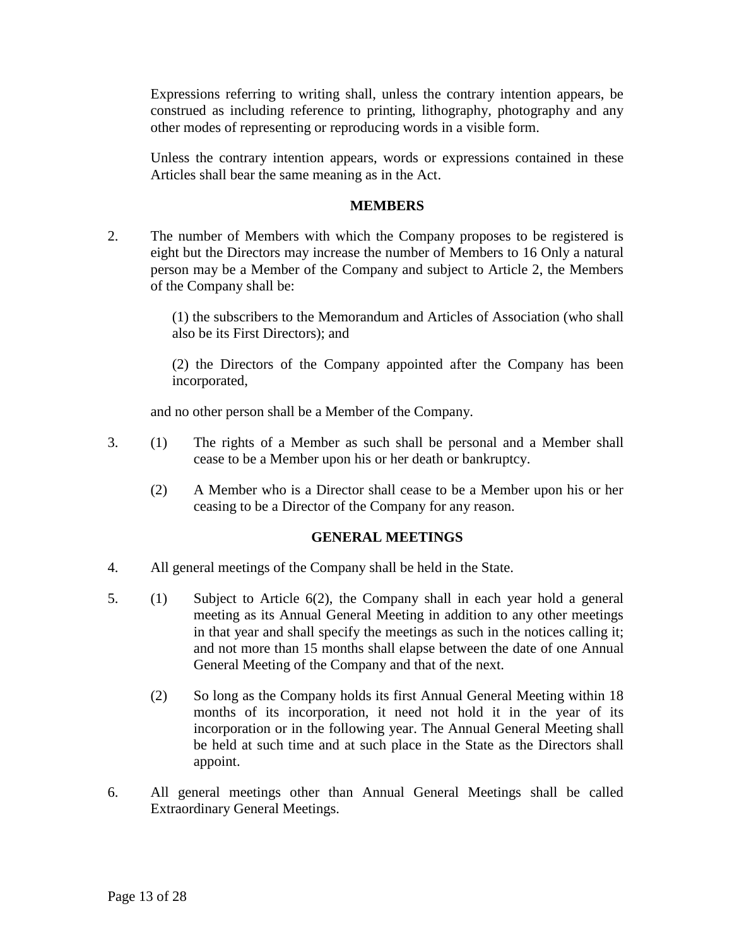Expressions referring to writing shall, unless the contrary intention appears, be construed as including reference to printing, lithography, photography and any other modes of representing or reproducing words in a visible form.

Unless the contrary intention appears, words or expressions contained in these Articles shall bear the same meaning as in the Act.

### **MEMBERS**

2. The number of Members with which the Company proposes to be registered is eight but the Directors may increase the number of Members to 16 Only a natural person may be a Member of the Company and subject to Article 2, the Members of the Company shall be:

> (1) the subscribers to the Memorandum and Articles of Association (who shall also be its First Directors); and

> (2) the Directors of the Company appointed after the Company has been incorporated,

and no other person shall be a Member of the Company.

- 3. (1) The rights of a Member as such shall be personal and a Member shall cease to be a Member upon his or her death or bankruptcy.
	- (2) A Member who is a Director shall cease to be a Member upon his or her ceasing to be a Director of the Company for any reason.

### **GENERAL MEETINGS**

- 4. All general meetings of the Company shall be held in the State.
- 5. (1) Subject to Article 6(2), the Company shall in each year hold a general meeting as its Annual General Meeting in addition to any other meetings in that year and shall specify the meetings as such in the notices calling it; and not more than 15 months shall elapse between the date of one Annual General Meeting of the Company and that of the next.
	- (2) So long as the Company holds its first Annual General Meeting within 18 months of its incorporation, it need not hold it in the year of its incorporation or in the following year. The Annual General Meeting shall be held at such time and at such place in the State as the Directors shall appoint.
- 6. All general meetings other than Annual General Meetings shall be called Extraordinary General Meetings.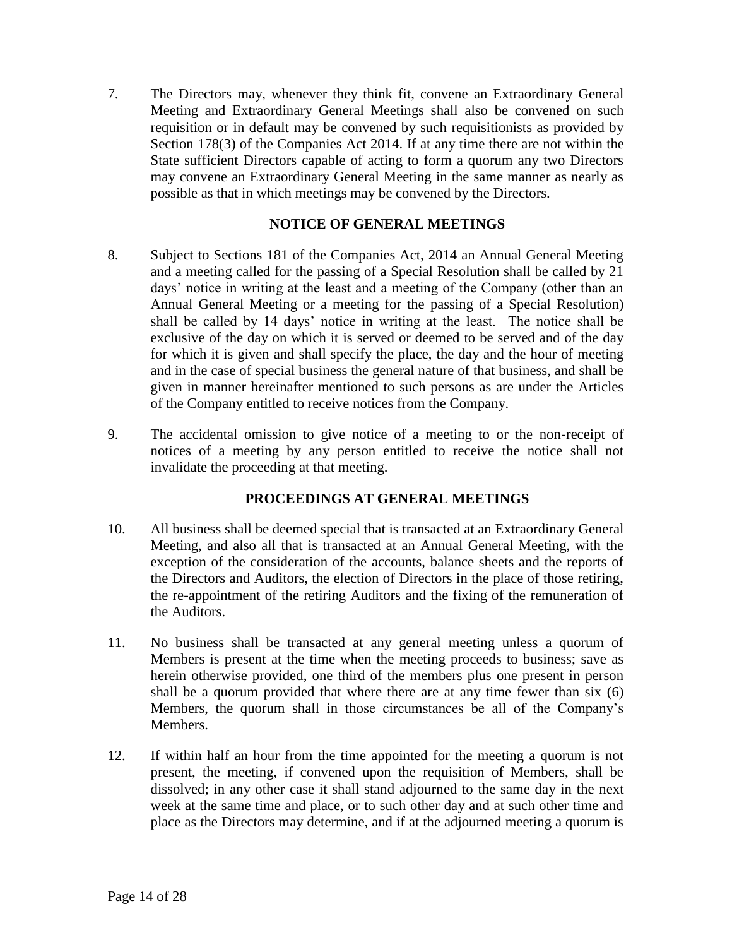7. The Directors may, whenever they think fit, convene an Extraordinary General Meeting and Extraordinary General Meetings shall also be convened on such requisition or in default may be convened by such requisitionists as provided by Section 178(3) of the Companies Act 2014. If at any time there are not within the State sufficient Directors capable of acting to form a quorum any two Directors may convene an Extraordinary General Meeting in the same manner as nearly as possible as that in which meetings may be convened by the Directors.

### **NOTICE OF GENERAL MEETINGS**

- 8. Subject to Sections 181 of the Companies Act, 2014 an Annual General Meeting and a meeting called for the passing of a Special Resolution shall be called by 21 days' notice in writing at the least and a meeting of the Company (other than an Annual General Meeting or a meeting for the passing of a Special Resolution) shall be called by 14 days' notice in writing at the least. The notice shall be exclusive of the day on which it is served or deemed to be served and of the day for which it is given and shall specify the place, the day and the hour of meeting and in the case of special business the general nature of that business, and shall be given in manner hereinafter mentioned to such persons as are under the Articles of the Company entitled to receive notices from the Company.
- 9. The accidental omission to give notice of a meeting to or the non-receipt of notices of a meeting by any person entitled to receive the notice shall not invalidate the proceeding at that meeting.

# **PROCEEDINGS AT GENERAL MEETINGS**

- 10. All business shall be deemed special that is transacted at an Extraordinary General Meeting, and also all that is transacted at an Annual General Meeting, with the exception of the consideration of the accounts, balance sheets and the reports of the Directors and Auditors, the election of Directors in the place of those retiring, the re-appointment of the retiring Auditors and the fixing of the remuneration of the Auditors.
- 11. No business shall be transacted at any general meeting unless a quorum of Members is present at the time when the meeting proceeds to business; save as herein otherwise provided, one third of the members plus one present in person shall be a quorum provided that where there are at any time fewer than six (6) Members, the quorum shall in those circumstances be all of the Company's Members.
- 12. If within half an hour from the time appointed for the meeting a quorum is not present, the meeting, if convened upon the requisition of Members, shall be dissolved; in any other case it shall stand adjourned to the same day in the next week at the same time and place, or to such other day and at such other time and place as the Directors may determine, and if at the adjourned meeting a quorum is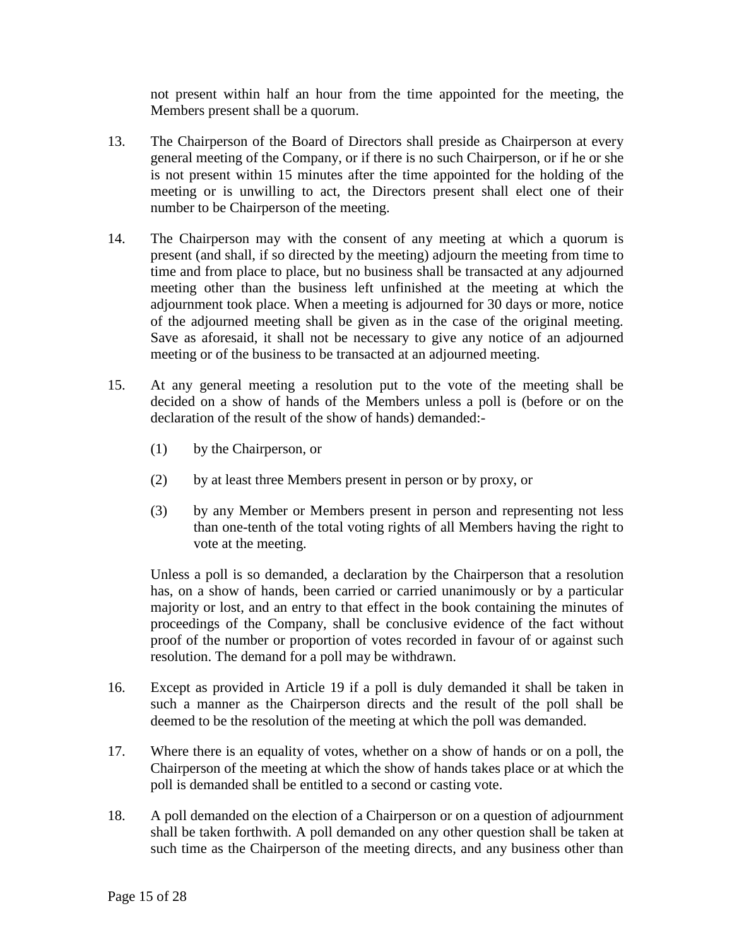not present within half an hour from the time appointed for the meeting, the Members present shall be a quorum.

- 13. The Chairperson of the Board of Directors shall preside as Chairperson at every general meeting of the Company, or if there is no such Chairperson, or if he or she is not present within 15 minutes after the time appointed for the holding of the meeting or is unwilling to act, the Directors present shall elect one of their number to be Chairperson of the meeting.
- 14. The Chairperson may with the consent of any meeting at which a quorum is present (and shall, if so directed by the meeting) adjourn the meeting from time to time and from place to place, but no business shall be transacted at any adjourned meeting other than the business left unfinished at the meeting at which the adjournment took place. When a meeting is adjourned for 30 days or more, notice of the adjourned meeting shall be given as in the case of the original meeting. Save as aforesaid, it shall not be necessary to give any notice of an adjourned meeting or of the business to be transacted at an adjourned meeting.
- 15. At any general meeting a resolution put to the vote of the meeting shall be decided on a show of hands of the Members unless a poll is (before or on the declaration of the result of the show of hands) demanded:-
	- (1) by the Chairperson, or
	- (2) by at least three Members present in person or by proxy, or
	- (3) by any Member or Members present in person and representing not less than one-tenth of the total voting rights of all Members having the right to vote at the meeting.

Unless a poll is so demanded, a declaration by the Chairperson that a resolution has, on a show of hands, been carried or carried unanimously or by a particular majority or lost, and an entry to that effect in the book containing the minutes of proceedings of the Company, shall be conclusive evidence of the fact without proof of the number or proportion of votes recorded in favour of or against such resolution. The demand for a poll may be withdrawn.

- 16. Except as provided in Article 19 if a poll is duly demanded it shall be taken in such a manner as the Chairperson directs and the result of the poll shall be deemed to be the resolution of the meeting at which the poll was demanded.
- 17. Where there is an equality of votes, whether on a show of hands or on a poll, the Chairperson of the meeting at which the show of hands takes place or at which the poll is demanded shall be entitled to a second or casting vote.
- 18. A poll demanded on the election of a Chairperson or on a question of adjournment shall be taken forthwith. A poll demanded on any other question shall be taken at such time as the Chairperson of the meeting directs, and any business other than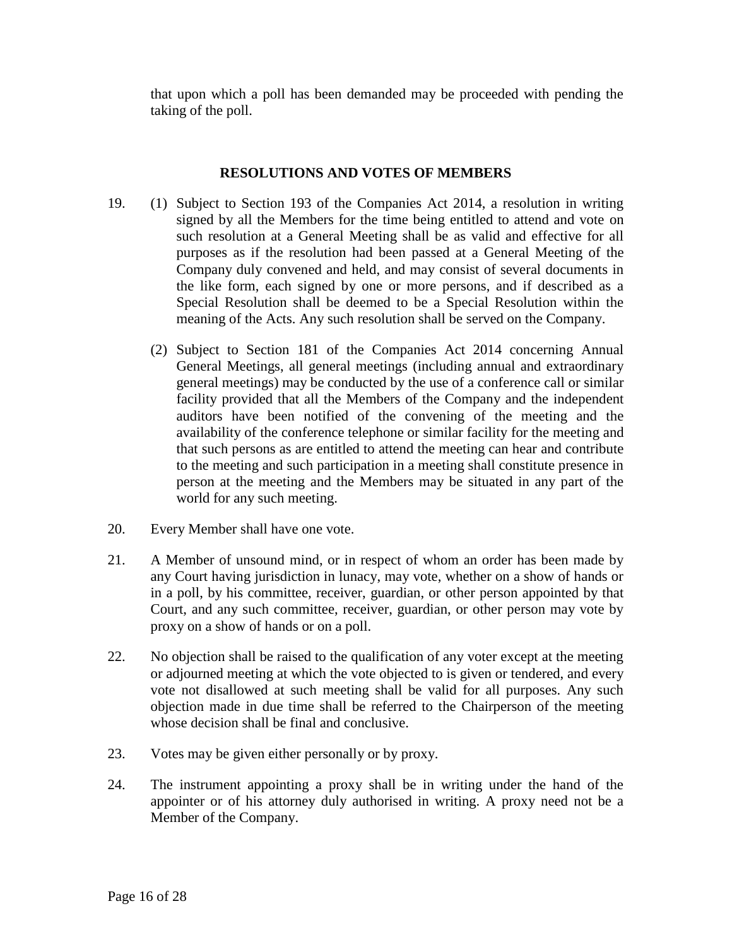that upon which a poll has been demanded may be proceeded with pending the taking of the poll.

#### **RESOLUTIONS AND VOTES OF MEMBERS**

- 19. (1) Subject to Section 193 of the Companies Act 2014, a resolution in writing signed by all the Members for the time being entitled to attend and vote on such resolution at a General Meeting shall be as valid and effective for all purposes as if the resolution had been passed at a General Meeting of the Company duly convened and held, and may consist of several documents in the like form, each signed by one or more persons, and if described as a Special Resolution shall be deemed to be a Special Resolution within the meaning of the Acts. Any such resolution shall be served on the Company.
	- (2) Subject to Section 181 of the Companies Act 2014 concerning Annual General Meetings, all general meetings (including annual and extraordinary general meetings) may be conducted by the use of a conference call or similar facility provided that all the Members of the Company and the independent auditors have been notified of the convening of the meeting and the availability of the conference telephone or similar facility for the meeting and that such persons as are entitled to attend the meeting can hear and contribute to the meeting and such participation in a meeting shall constitute presence in person at the meeting and the Members may be situated in any part of the world for any such meeting.
- 20. Every Member shall have one vote.
- 21. A Member of unsound mind, or in respect of whom an order has been made by any Court having jurisdiction in lunacy, may vote, whether on a show of hands or in a poll, by his committee, receiver, guardian, or other person appointed by that Court, and any such committee, receiver, guardian, or other person may vote by proxy on a show of hands or on a poll.
- 22. No objection shall be raised to the qualification of any voter except at the meeting or adjourned meeting at which the vote objected to is given or tendered, and every vote not disallowed at such meeting shall be valid for all purposes. Any such objection made in due time shall be referred to the Chairperson of the meeting whose decision shall be final and conclusive.
- 23. Votes may be given either personally or by proxy.
- 24. The instrument appointing a proxy shall be in writing under the hand of the appointer or of his attorney duly authorised in writing. A proxy need not be a Member of the Company.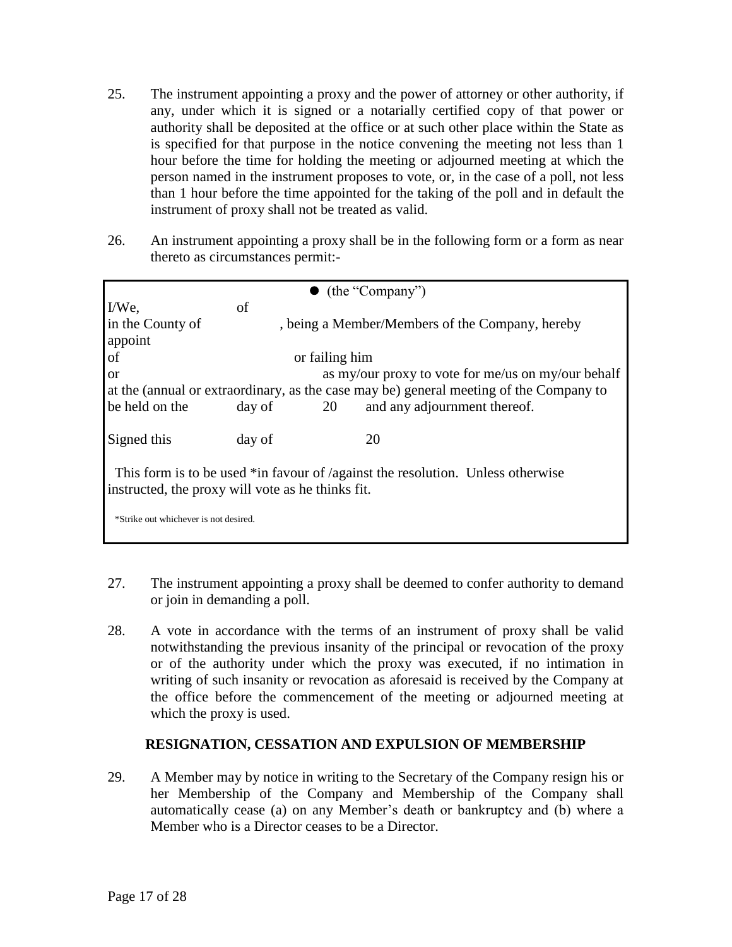- 25. The instrument appointing a proxy and the power of attorney or other authority, if any, under which it is signed or a notarially certified copy of that power or authority shall be deposited at the office or at such other place within the State as is specified for that purpose in the notice convening the meeting not less than 1 hour before the time for holding the meeting or adjourned meeting at which the person named in the instrument proposes to vote, or, in the case of a poll, not less than 1 hour before the time appointed for the taking of the poll and in default the instrument of proxy shall not be treated as valid.
- 26. An instrument appointing a proxy shall be in the following form or a form as near thereto as circumstances permit:-

| (the "Company")                                                                                                                      |                                                    |    |                                                 |
|--------------------------------------------------------------------------------------------------------------------------------------|----------------------------------------------------|----|-------------------------------------------------|
| $I/We$ ,                                                                                                                             | of                                                 |    |                                                 |
| in the County of<br>appoint                                                                                                          |                                                    |    | , being a Member/Members of the Company, hereby |
| of                                                                                                                                   | or failing him                                     |    |                                                 |
| <sub>or</sub>                                                                                                                        | as my/our proxy to vote for me/us on my/our behalf |    |                                                 |
| at the (annual or extraordinary, as the case may be) general meeting of the Company to                                               |                                                    |    |                                                 |
| be held on the                                                                                                                       | day of                                             | 20 | and any adjournment thereof.                    |
|                                                                                                                                      |                                                    |    |                                                 |
| Signed this                                                                                                                          | day of                                             |    | 20                                              |
| This form is to be used *in favour of /against the resolution. Unless otherwise<br>instructed, the proxy will vote as he thinks fit. |                                                    |    |                                                 |
| *Strike out whichever is not desired.                                                                                                |                                                    |    |                                                 |

- 27. The instrument appointing a proxy shall be deemed to confer authority to demand or join in demanding a poll.
- 28. A vote in accordance with the terms of an instrument of proxy shall be valid notwithstanding the previous insanity of the principal or revocation of the proxy or of the authority under which the proxy was executed, if no intimation in writing of such insanity or revocation as aforesaid is received by the Company at the office before the commencement of the meeting or adjourned meeting at which the proxy is used.

# **RESIGNATION, CESSATION AND EXPULSION OF MEMBERSHIP**

29. A Member may by notice in writing to the Secretary of the Company resign his or her Membership of the Company and Membership of the Company shall automatically cease (a) on any Member's death or bankruptcy and (b) where a Member who is a Director ceases to be a Director.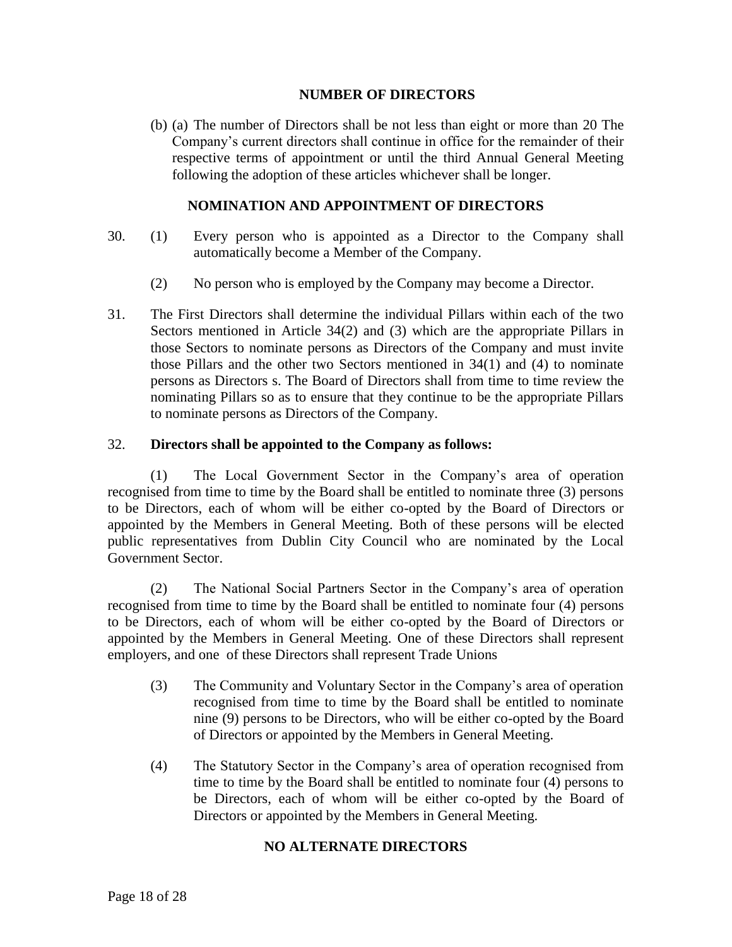### **NUMBER OF DIRECTORS**

(b) (a) The number of Directors shall be not less than eight or more than 20 The Company's current directors shall continue in office for the remainder of their respective terms of appointment or until the third Annual General Meeting following the adoption of these articles whichever shall be longer.

### **NOMINATION AND APPOINTMENT OF DIRECTORS**

- 30. (1) Every person who is appointed as a Director to the Company shall automatically become a Member of the Company.
	- (2) No person who is employed by the Company may become a Director.
- 31. The First Directors shall determine the individual Pillars within each of the two Sectors mentioned in Article 34(2) and (3) which are the appropriate Pillars in those Sectors to nominate persons as Directors of the Company and must invite those Pillars and the other two Sectors mentioned in 34(1) and (4) to nominate persons as Directors s. The Board of Directors shall from time to time review the nominating Pillars so as to ensure that they continue to be the appropriate Pillars to nominate persons as Directors of the Company.

### 32. **Directors shall be appointed to the Company as follows:**

(1) The Local Government Sector in the Company's area of operation recognised from time to time by the Board shall be entitled to nominate three (3) persons to be Directors, each of whom will be either co-opted by the Board of Directors or appointed by the Members in General Meeting. Both of these persons will be elected public representatives from Dublin City Council who are nominated by the Local Government Sector.

(2) The National Social Partners Sector in the Company's area of operation recognised from time to time by the Board shall be entitled to nominate four (4) persons to be Directors, each of whom will be either co-opted by the Board of Directors or appointed by the Members in General Meeting. One of these Directors shall represent employers, and one of these Directors shall represent Trade Unions

- (3) The Community and Voluntary Sector in the Company's area of operation recognised from time to time by the Board shall be entitled to nominate nine (9) persons to be Directors, who will be either co-opted by the Board of Directors or appointed by the Members in General Meeting.
- (4) The Statutory Sector in the Company's area of operation recognised from time to time by the Board shall be entitled to nominate four (4) persons to be Directors, each of whom will be either co-opted by the Board of Directors or appointed by the Members in General Meeting.

# **NO ALTERNATE DIRECTORS**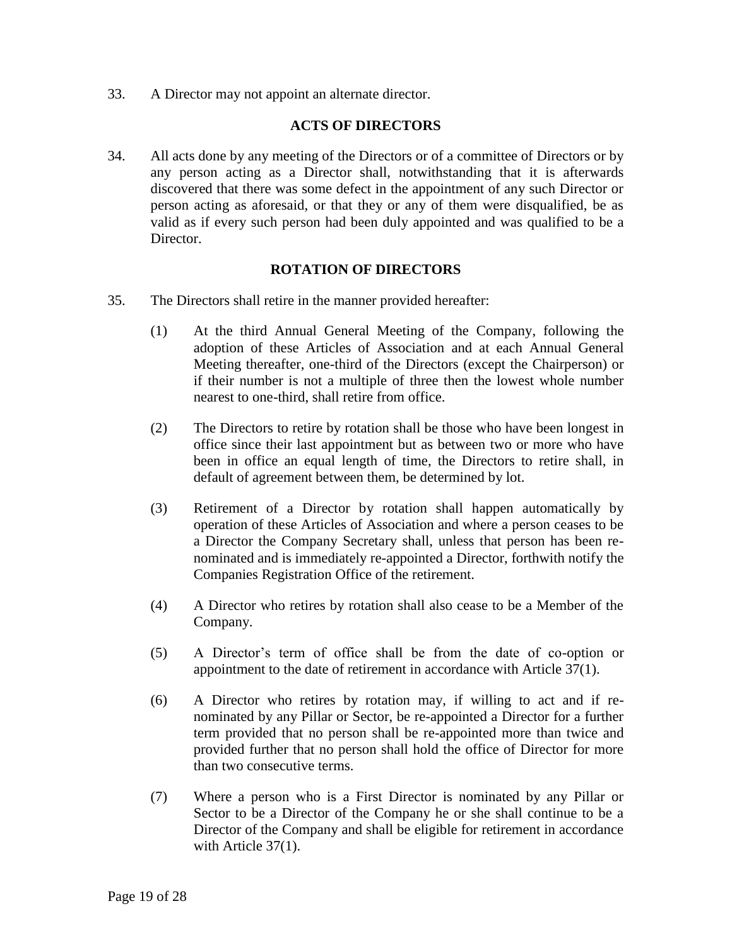33. A Director may not appoint an alternate director.

### **ACTS OF DIRECTORS**

34. All acts done by any meeting of the Directors or of a committee of Directors or by any person acting as a Director shall, notwithstanding that it is afterwards discovered that there was some defect in the appointment of any such Director or person acting as aforesaid, or that they or any of them were disqualified, be as valid as if every such person had been duly appointed and was qualified to be a Director.

### **ROTATION OF DIRECTORS**

- 35. The Directors shall retire in the manner provided hereafter:
	- (1) At the third Annual General Meeting of the Company, following the adoption of these Articles of Association and at each Annual General Meeting thereafter, one-third of the Directors (except the Chairperson) or if their number is not a multiple of three then the lowest whole number nearest to one-third, shall retire from office.
	- (2) The Directors to retire by rotation shall be those who have been longest in office since their last appointment but as between two or more who have been in office an equal length of time, the Directors to retire shall, in default of agreement between them, be determined by lot.
	- (3) Retirement of a Director by rotation shall happen automatically by operation of these Articles of Association and where a person ceases to be a Director the Company Secretary shall, unless that person has been renominated and is immediately re-appointed a Director, forthwith notify the Companies Registration Office of the retirement.
	- (4) A Director who retires by rotation shall also cease to be a Member of the Company.
	- (5) A Director's term of office shall be from the date of co-option or appointment to the date of retirement in accordance with Article 37(1).
	- (6) A Director who retires by rotation may, if willing to act and if renominated by any Pillar or Sector, be re-appointed a Director for a further term provided that no person shall be re-appointed more than twice and provided further that no person shall hold the office of Director for more than two consecutive terms.
	- (7) Where a person who is a First Director is nominated by any Pillar or Sector to be a Director of the Company he or she shall continue to be a Director of the Company and shall be eligible for retirement in accordance with Article 37(1).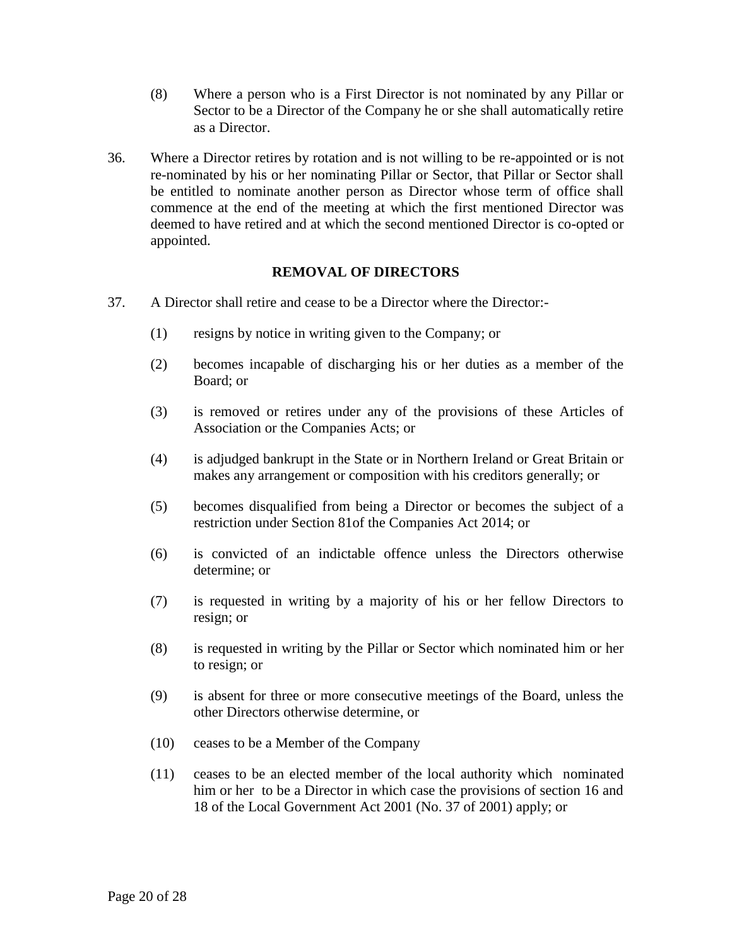- (8) Where a person who is a First Director is not nominated by any Pillar or Sector to be a Director of the Company he or she shall automatically retire as a Director.
- 36. Where a Director retires by rotation and is not willing to be re-appointed or is not re-nominated by his or her nominating Pillar or Sector, that Pillar or Sector shall be entitled to nominate another person as Director whose term of office shall commence at the end of the meeting at which the first mentioned Director was deemed to have retired and at which the second mentioned Director is co-opted or appointed.

### **REMOVAL OF DIRECTORS**

- 37. A Director shall retire and cease to be a Director where the Director:-
	- (1) resigns by notice in writing given to the Company; or
	- (2) becomes incapable of discharging his or her duties as a member of the Board; or
	- (3) is removed or retires under any of the provisions of these Articles of Association or the Companies Acts; or
	- (4) is adjudged bankrupt in the State or in Northern Ireland or Great Britain or makes any arrangement or composition with his creditors generally; or
	- (5) becomes disqualified from being a Director or becomes the subject of a restriction under Section 81of the Companies Act 2014; or
	- (6) is convicted of an indictable offence unless the Directors otherwise determine; or
	- (7) is requested in writing by a majority of his or her fellow Directors to resign; or
	- (8) is requested in writing by the Pillar or Sector which nominated him or her to resign; or
	- (9) is absent for three or more consecutive meetings of the Board, unless the other Directors otherwise determine, or
	- (10) ceases to be a Member of the Company
	- (11) ceases to be an elected member of the local authority which nominated him or her to be a Director in which case the provisions of section 16 and 18 of the Local Government Act 2001 (No. 37 of 2001) apply; or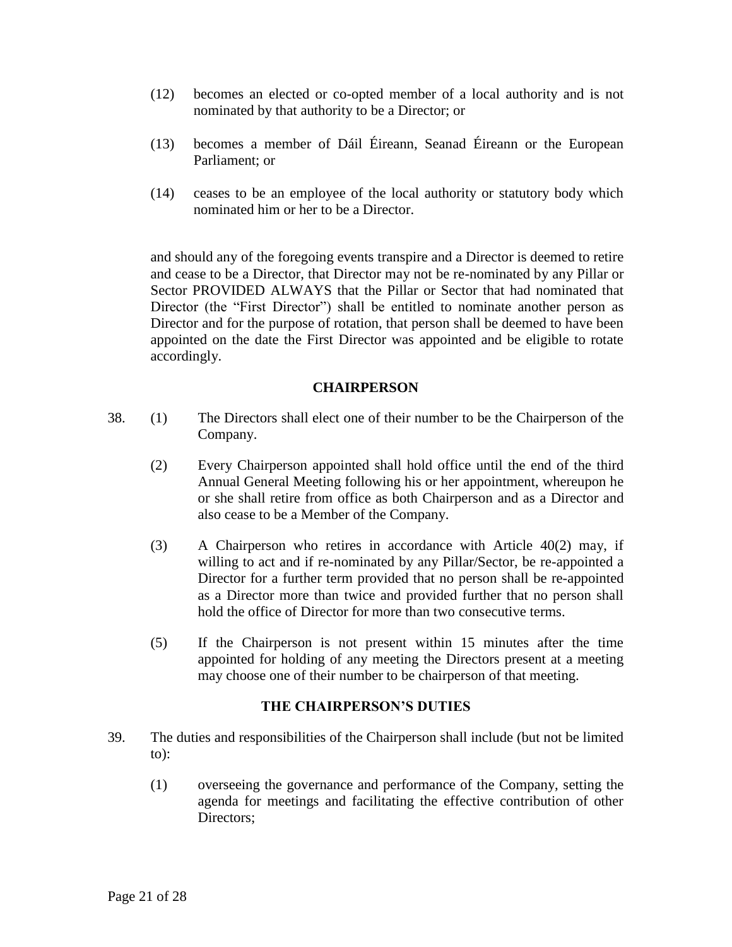- (12) becomes an elected or co-opted member of a local authority and is not nominated by that authority to be a Director; or
- (13) becomes a member of Dáil Éireann, Seanad Éireann or the European Parliament; or
- (14) ceases to be an employee of the local authority or statutory body which nominated him or her to be a Director.

and should any of the foregoing events transpire and a Director is deemed to retire and cease to be a Director, that Director may not be re-nominated by any Pillar or Sector PROVIDED ALWAYS that the Pillar or Sector that had nominated that Director (the "First Director") shall be entitled to nominate another person as Director and for the purpose of rotation, that person shall be deemed to have been appointed on the date the First Director was appointed and be eligible to rotate accordingly.

### **CHAIRPERSON**

- 38. (1) The Directors shall elect one of their number to be the Chairperson of the Company.
	- (2) Every Chairperson appointed shall hold office until the end of the third Annual General Meeting following his or her appointment, whereupon he or she shall retire from office as both Chairperson and as a Director and also cease to be a Member of the Company.
	- (3) A Chairperson who retires in accordance with Article 40(2) may, if willing to act and if re-nominated by any Pillar/Sector, be re-appointed a Director for a further term provided that no person shall be re-appointed as a Director more than twice and provided further that no person shall hold the office of Director for more than two consecutive terms.
	- (5) If the Chairperson is not present within 15 minutes after the time appointed for holding of any meeting the Directors present at a meeting may choose one of their number to be chairperson of that meeting.

#### **THE CHAIRPERSON'S DUTIES**

- 39. The duties and responsibilities of the Chairperson shall include (but not be limited to):
	- (1) overseeing the governance and performance of the Company, setting the agenda for meetings and facilitating the effective contribution of other Directors: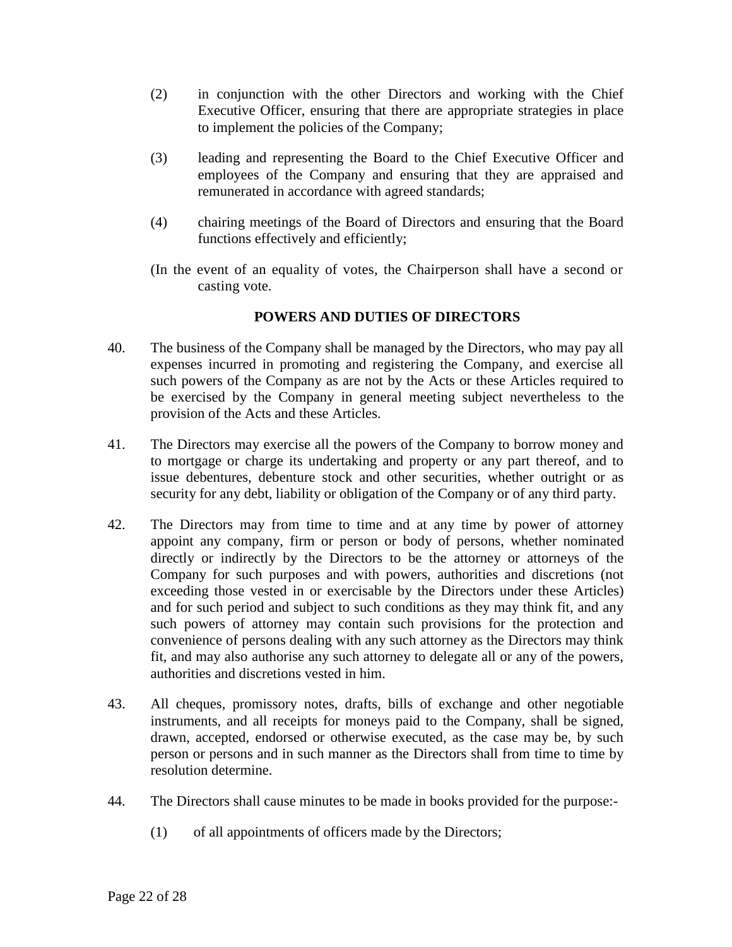- (2) in conjunction with the other Directors and working with the Chief Executive Officer, ensuring that there are appropriate strategies in place to implement the policies of the Company;
- (3) leading and representing the Board to the Chief Executive Officer and employees of the Company and ensuring that they are appraised and remunerated in accordance with agreed standards;
- (4) chairing meetings of the Board of Directors and ensuring that the Board functions effectively and efficiently;
- (In the event of an equality of votes, the Chairperson shall have a second or casting vote.

# **POWERS AND DUTIES OF DIRECTORS**

- 40. The business of the Company shall be managed by the Directors, who may pay all expenses incurred in promoting and registering the Company, and exercise all such powers of the Company as are not by the Acts or these Articles required to be exercised by the Company in general meeting subject nevertheless to the provision of the Acts and these Articles.
- 41. The Directors may exercise all the powers of the Company to borrow money and to mortgage or charge its undertaking and property or any part thereof, and to issue debentures, debenture stock and other securities, whether outright or as security for any debt, liability or obligation of the Company or of any third party.
- 42. The Directors may from time to time and at any time by power of attorney appoint any company, firm or person or body of persons, whether nominated directly or indirectly by the Directors to be the attorney or attorneys of the Company for such purposes and with powers, authorities and discretions (not exceeding those vested in or exercisable by the Directors under these Articles) and for such period and subject to such conditions as they may think fit, and any such powers of attorney may contain such provisions for the protection and convenience of persons dealing with any such attorney as the Directors may think fit, and may also authorise any such attorney to delegate all or any of the powers, authorities and discretions vested in him.
- 43. All cheques, promissory notes, drafts, bills of exchange and other negotiable instruments, and all receipts for moneys paid to the Company, shall be signed, drawn, accepted, endorsed or otherwise executed, as the case may be, by such person or persons and in such manner as the Directors shall from time to time by resolution determine.
- 44. The Directors shall cause minutes to be made in books provided for the purpose:-
	- (1) of all appointments of officers made by the Directors;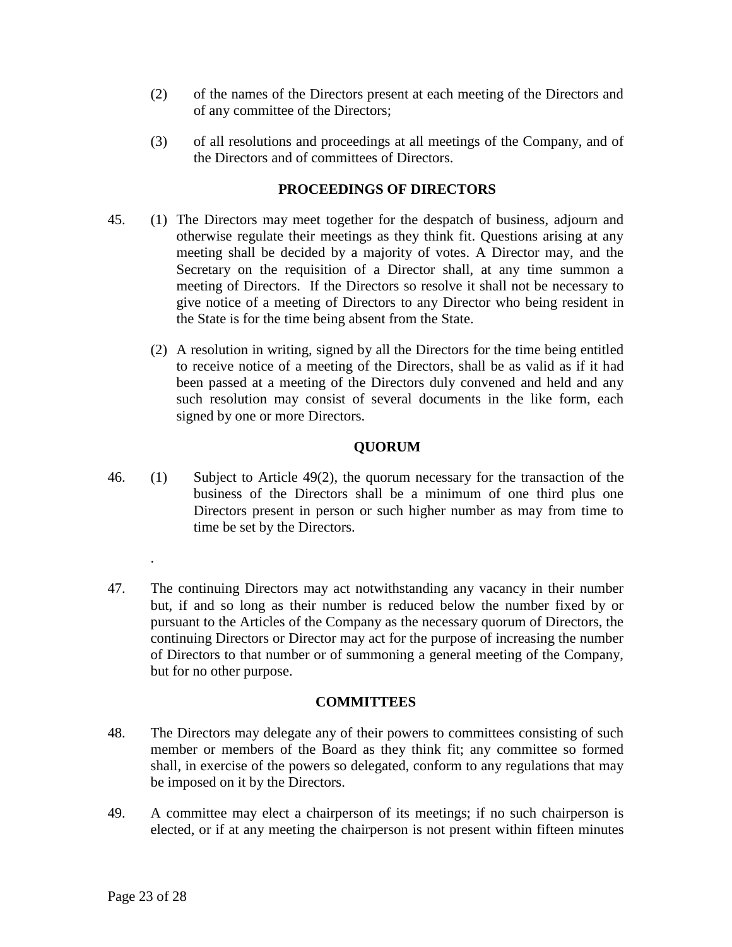- (2) of the names of the Directors present at each meeting of the Directors and of any committee of the Directors;
- (3) of all resolutions and proceedings at all meetings of the Company, and of the Directors and of committees of Directors.

### **PROCEEDINGS OF DIRECTORS**

- 45. (1) The Directors may meet together for the despatch of business, adjourn and otherwise regulate their meetings as they think fit. Questions arising at any meeting shall be decided by a majority of votes. A Director may, and the Secretary on the requisition of a Director shall, at any time summon a meeting of Directors. If the Directors so resolve it shall not be necessary to give notice of a meeting of Directors to any Director who being resident in the State is for the time being absent from the State.
	- (2) A resolution in writing, signed by all the Directors for the time being entitled to receive notice of a meeting of the Directors, shall be as valid as if it had been passed at a meeting of the Directors duly convened and held and any such resolution may consist of several documents in the like form, each signed by one or more Directors.

# **QUORUM**

- 46. (1) Subject to Article 49(2), the quorum necessary for the transaction of the business of the Directors shall be a minimum of one third plus one Directors present in person or such higher number as may from time to time be set by the Directors.
- 47. The continuing Directors may act notwithstanding any vacancy in their number but, if and so long as their number is reduced below the number fixed by or pursuant to the Articles of the Company as the necessary quorum of Directors, the continuing Directors or Director may act for the purpose of increasing the number of Directors to that number or of summoning a general meeting of the Company, but for no other purpose.

### **COMMITTEES**

- 48. The Directors may delegate any of their powers to committees consisting of such member or members of the Board as they think fit; any committee so formed shall, in exercise of the powers so delegated, conform to any regulations that may be imposed on it by the Directors.
- 49. A committee may elect a chairperson of its meetings; if no such chairperson is elected, or if at any meeting the chairperson is not present within fifteen minutes

.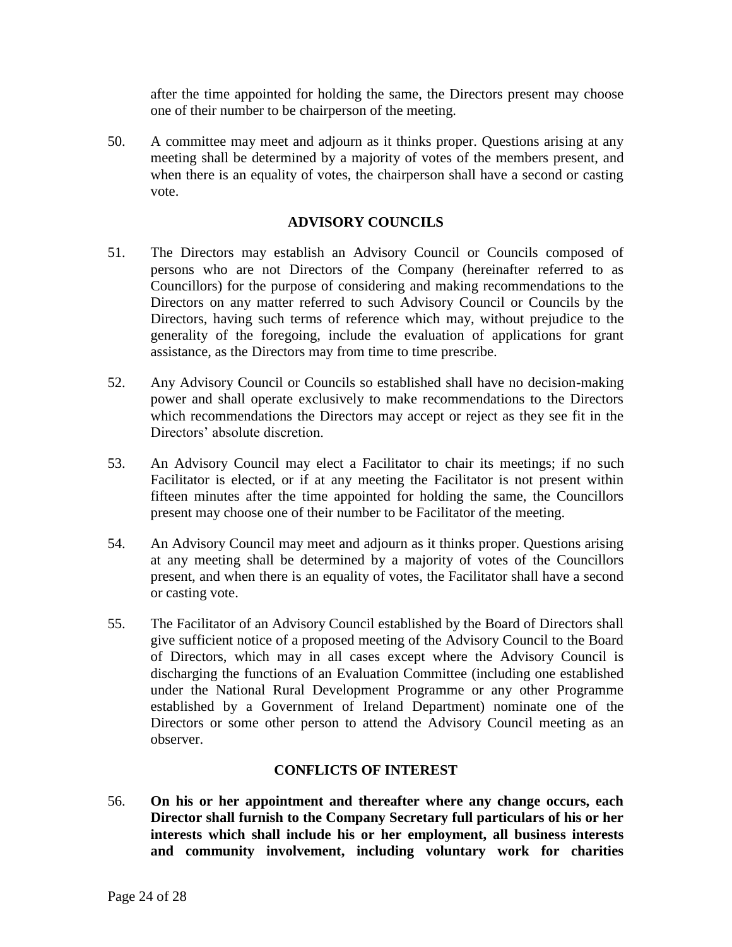after the time appointed for holding the same, the Directors present may choose one of their number to be chairperson of the meeting.

50. A committee may meet and adjourn as it thinks proper. Questions arising at any meeting shall be determined by a majority of votes of the members present, and when there is an equality of votes, the chairperson shall have a second or casting vote.

### **ADVISORY COUNCILS**

- 51. The Directors may establish an Advisory Council or Councils composed of persons who are not Directors of the Company (hereinafter referred to as Councillors) for the purpose of considering and making recommendations to the Directors on any matter referred to such Advisory Council or Councils by the Directors, having such terms of reference which may, without prejudice to the generality of the foregoing, include the evaluation of applications for grant assistance, as the Directors may from time to time prescribe.
- 52. Any Advisory Council or Councils so established shall have no decision-making power and shall operate exclusively to make recommendations to the Directors which recommendations the Directors may accept or reject as they see fit in the Directors' absolute discretion.
- 53. An Advisory Council may elect a Facilitator to chair its meetings; if no such Facilitator is elected, or if at any meeting the Facilitator is not present within fifteen minutes after the time appointed for holding the same, the Councillors present may choose one of their number to be Facilitator of the meeting.
- 54. An Advisory Council may meet and adjourn as it thinks proper. Questions arising at any meeting shall be determined by a majority of votes of the Councillors present, and when there is an equality of votes, the Facilitator shall have a second or casting vote.
- 55. The Facilitator of an Advisory Council established by the Board of Directors shall give sufficient notice of a proposed meeting of the Advisory Council to the Board of Directors, which may in all cases except where the Advisory Council is discharging the functions of an Evaluation Committee (including one established under the National Rural Development Programme or any other Programme established by a Government of Ireland Department) nominate one of the Directors or some other person to attend the Advisory Council meeting as an observer.

# **CONFLICTS OF INTEREST**

56. **On his or her appointment and thereafter where any change occurs, each Director shall furnish to the Company Secretary full particulars of his or her interests which shall include his or her employment, all business interests and community involvement, including voluntary work for charities**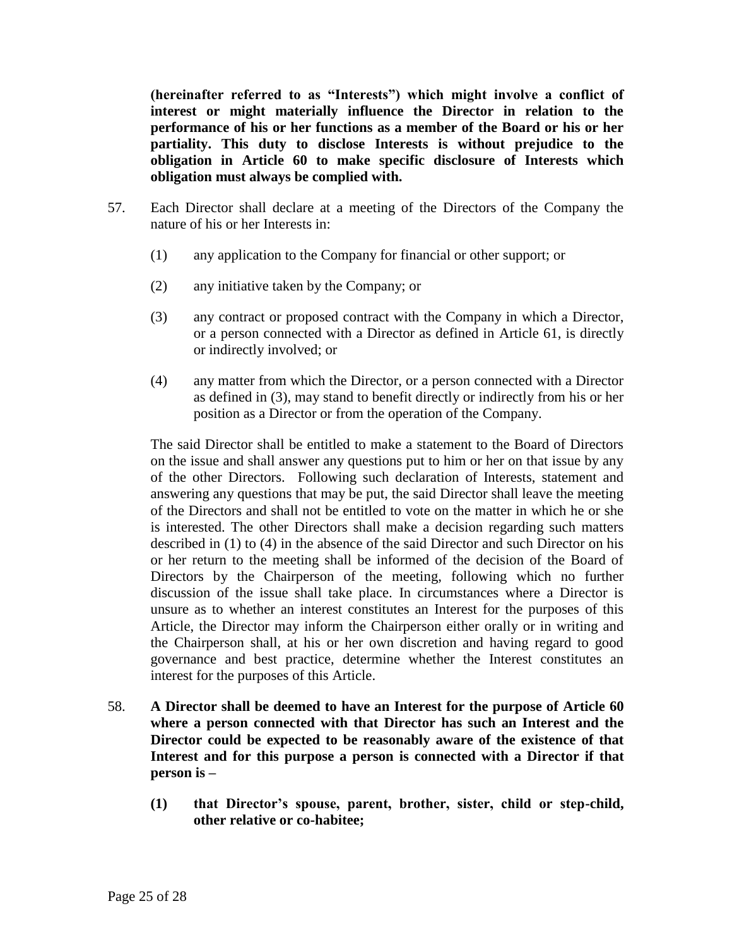**(hereinafter referred to as "Interests") which might involve a conflict of interest or might materially influence the Director in relation to the performance of his or her functions as a member of the Board or his or her partiality. This duty to disclose Interests is without prejudice to the obligation in Article 60 to make specific disclosure of Interests which obligation must always be complied with.**

- 57. Each Director shall declare at a meeting of the Directors of the Company the nature of his or her Interests in:
	- (1) any application to the Company for financial or other support; or
	- (2) any initiative taken by the Company; or
	- (3) any contract or proposed contract with the Company in which a Director, or a person connected with a Director as defined in Article 61, is directly or indirectly involved; or
	- (4) any matter from which the Director, or a person connected with a Director as defined in (3), may stand to benefit directly or indirectly from his or her position as a Director or from the operation of the Company.

The said Director shall be entitled to make a statement to the Board of Directors on the issue and shall answer any questions put to him or her on that issue by any of the other Directors. Following such declaration of Interests, statement and answering any questions that may be put, the said Director shall leave the meeting of the Directors and shall not be entitled to vote on the matter in which he or she is interested. The other Directors shall make a decision regarding such matters described in (1) to (4) in the absence of the said Director and such Director on his or her return to the meeting shall be informed of the decision of the Board of Directors by the Chairperson of the meeting, following which no further discussion of the issue shall take place. In circumstances where a Director is unsure as to whether an interest constitutes an Interest for the purposes of this Article, the Director may inform the Chairperson either orally or in writing and the Chairperson shall, at his or her own discretion and having regard to good governance and best practice, determine whether the Interest constitutes an interest for the purposes of this Article.

- 58. **A Director shall be deemed to have an Interest for the purpose of Article 60 where a person connected with that Director has such an Interest and the Director could be expected to be reasonably aware of the existence of that Interest and for this purpose a person is connected with a Director if that person is –**
	- **(1) that Director's spouse, parent, brother, sister, child or step-child, other relative or co-habitee;**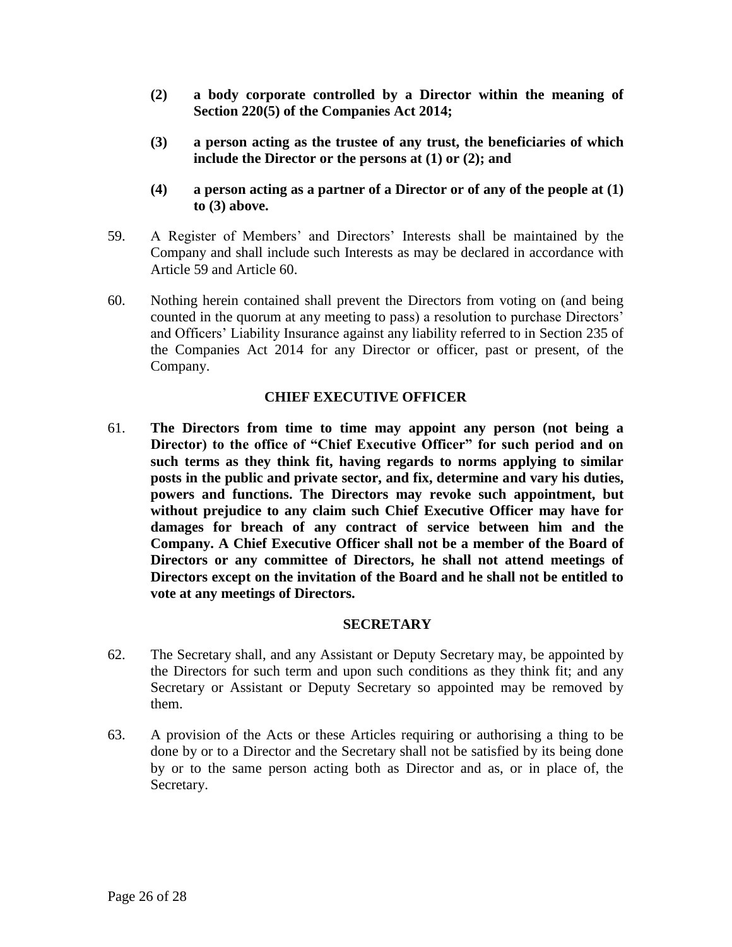- **(2) a body corporate controlled by a Director within the meaning of Section 220(5) of the Companies Act 2014;**
- **(3) a person acting as the trustee of any trust, the beneficiaries of which include the Director or the persons at (1) or (2); and**
- **(4) a person acting as a partner of a Director or of any of the people at (1) to (3) above.**
- 59. A Register of Members' and Directors' Interests shall be maintained by the Company and shall include such Interests as may be declared in accordance with Article 59 and Article 60.
- 60. Nothing herein contained shall prevent the Directors from voting on (and being counted in the quorum at any meeting to pass) a resolution to purchase Directors' and Officers' Liability Insurance against any liability referred to in Section 235 of the Companies Act 2014 for any Director or officer, past or present, of the Company.

### **CHIEF EXECUTIVE OFFICER**

61. **The Directors from time to time may appoint any person (not being a Director) to the office of "Chief Executive Officer" for such period and on such terms as they think fit, having regards to norms applying to similar posts in the public and private sector, and fix, determine and vary his duties, powers and functions. The Directors may revoke such appointment, but without prejudice to any claim such Chief Executive Officer may have for damages for breach of any contract of service between him and the Company. A Chief Executive Officer shall not be a member of the Board of Directors or any committee of Directors, he shall not attend meetings of Directors except on the invitation of the Board and he shall not be entitled to vote at any meetings of Directors.**

### **SECRETARY**

- 62. The Secretary shall, and any Assistant or Deputy Secretary may, be appointed by the Directors for such term and upon such conditions as they think fit; and any Secretary or Assistant or Deputy Secretary so appointed may be removed by them.
- 63. A provision of the Acts or these Articles requiring or authorising a thing to be done by or to a Director and the Secretary shall not be satisfied by its being done by or to the same person acting both as Director and as, or in place of, the Secretary.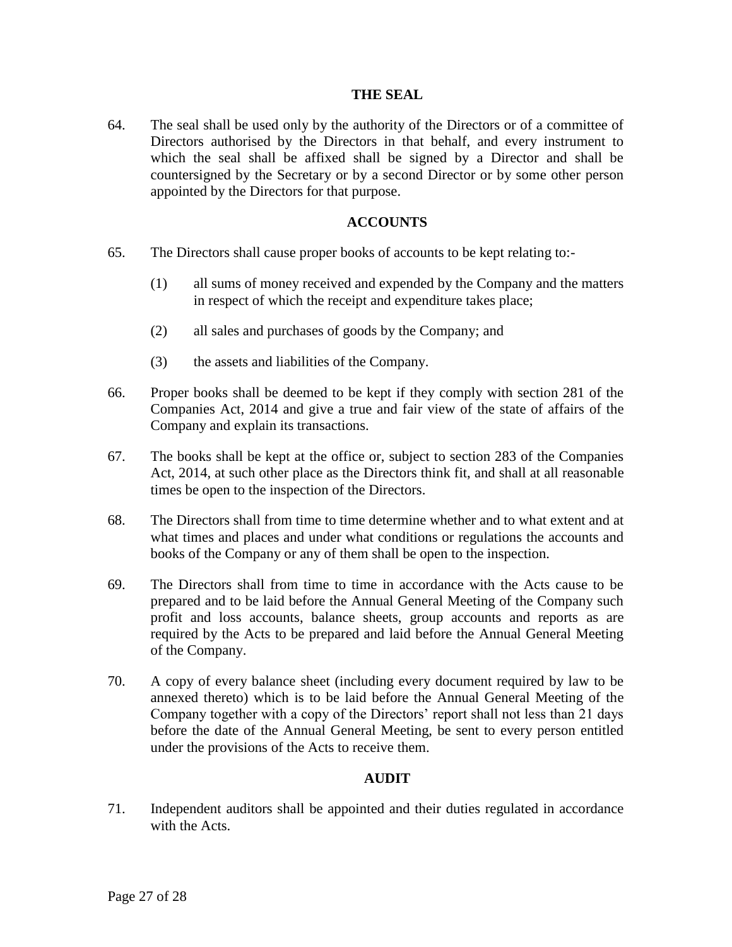#### **THE SEAL**

64. The seal shall be used only by the authority of the Directors or of a committee of Directors authorised by the Directors in that behalf, and every instrument to which the seal shall be affixed shall be signed by a Director and shall be countersigned by the Secretary or by a second Director or by some other person appointed by the Directors for that purpose.

#### **ACCOUNTS**

- 65. The Directors shall cause proper books of accounts to be kept relating to:-
	- (1) all sums of money received and expended by the Company and the matters in respect of which the receipt and expenditure takes place;
	- (2) all sales and purchases of goods by the Company; and
	- (3) the assets and liabilities of the Company.
- 66. Proper books shall be deemed to be kept if they comply with section 281 of the Companies Act, 2014 and give a true and fair view of the state of affairs of the Company and explain its transactions.
- 67. The books shall be kept at the office or, subject to section 283 of the Companies Act, 2014, at such other place as the Directors think fit, and shall at all reasonable times be open to the inspection of the Directors.
- 68. The Directors shall from time to time determine whether and to what extent and at what times and places and under what conditions or regulations the accounts and books of the Company or any of them shall be open to the inspection.
- 69. The Directors shall from time to time in accordance with the Acts cause to be prepared and to be laid before the Annual General Meeting of the Company such profit and loss accounts, balance sheets, group accounts and reports as are required by the Acts to be prepared and laid before the Annual General Meeting of the Company.
- 70. A copy of every balance sheet (including every document required by law to be annexed thereto) which is to be laid before the Annual General Meeting of the Company together with a copy of the Directors' report shall not less than 21 days before the date of the Annual General Meeting, be sent to every person entitled under the provisions of the Acts to receive them.

### **AUDIT**

71. Independent auditors shall be appointed and their duties regulated in accordance with the Acts.